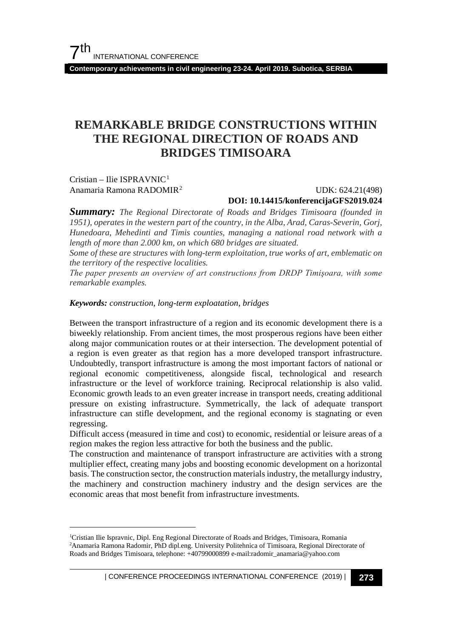**Contemporary achievements in civil engineering 23-24. April 2019. Subotica, SERBIA**

### **REMARKABLE BRIDGE CONSTRUCTIONS WITHIN THE REGIONAL DIRECTION OF ROADS AND BRIDGES TIMISOARA**

Cristian – Ilie ISPRAVNIC[1](#page-0-0) Anamaria Ramona RADOMIR[2](#page-0-1)

#### UDK: 624.21(498) **DOI: 10.14415/konferencijaGFS2019.024**

*Summary: The Regional Directorate of Roads and Bridges Timisoara (founded in 1951), operates in the western part of the country, in the Alba, Arad, Caras-Severin, Gorj, Hunedoara, Mehedinti and Timis counties, managing a national road network with a length of more than 2.000 km, on which 680 bridges are situated.*

*Some of these are structures with long-term exploitation, true works of art, emblematic on the territory of the respective localities.*

*The paper presents an overview of art constructions from DRDP Timişoara, with some remarkable examples.*

#### *Keywords: construction, long-term exploatation, bridges*

Between the transport infrastructure of a region and its economic development there is a biweekly relationship. From ancient times, the most prosperous regions have been either along major communication routes or at their intersection. The development potential of a region is even greater as that region has a more developed transport infrastructure. Undoubtedly, transport infrastructure is among the most important factors of national or regional economic competitiveness, alongside fiscal, technological and research infrastructure or the level of workforce training. Reciprocal relationship is also valid. Economic growth leads to an even greater increase in transport needs, creating additional pressure on existing infrastructure. Symmetrically, the lack of adequate transport infrastructure can stifle development, and the regional economy is stagnating or even regressing.

Difficult access (measured in time and cost) to economic, residential or leisure areas of a region makes the region less attractive for both the business and the public.

The construction and maintenance of transport infrastructure are activities with a strong multiplier effect, creating many jobs and boosting economic development on a horizontal basis. The construction sector, the construction materials industry, the metallurgy industry, the machinery and construction machinery industry and the design services are the economic areas that most benefit from infrastructure investments.

<span id="page-0-1"></span><span id="page-0-0"></span> $\frac{1}{1}$ <sup>1</sup>Cristian Ilie Ispravnic, Dipl. Eng Regional Directorate of Roads and Bridges, Timisoara, Romania 2 Anamaria Ramona Radomir, PhD dipl.eng. University Politehnica of Timisoara, Regional Directorate of Roads and Bridges Timisoara, telephone: +40799000899 e-mail:radomir\_anamaria@yahoo.com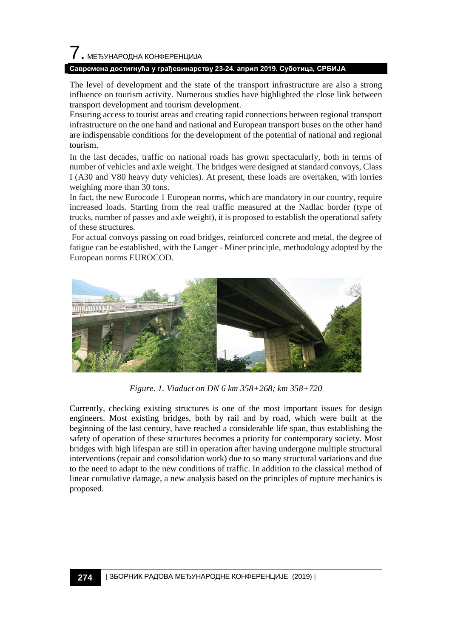## 7. МЕЂУНАРОДНА КОНФЕРЕНЦИЈА

#### **Савремена достигнућа у грађевинарству 23-24. април 2019. Суботица, СРБИЈА**

The level of development and the state of the transport infrastructure are also a strong influence on tourism activity. Numerous studies have highlighted the close link between transport development and tourism development.

Ensuring access to tourist areas and creating rapid connections between regional transport infrastructure on the one hand and national and European transport buses on the other hand are indispensable conditions for the development of the potential of national and regional tourism.

In the last decades, traffic on national roads has grown spectacularly, both in terms of number of vehicles and axle weight. The bridges were designed at standard convoys, Class I (A30 and V80 heavy duty vehicles). At present, these loads are overtaken, with lorries weighing more than 30 tons.

In fact, the new Eurocode 1 European norms, which are mandatory in our country, require increased loads. Starting from the real traffic measured at the Nadlac border (type of trucks, number of passes and axle weight), it is proposed to establish the operational safety of these structures.

For actual convoys passing on road bridges, reinforced concrete and metal, the degree of fatigue can be established, with the Langer - Miner principle, methodology adopted by the European norms EUROCOD.



*Figure. 1. Viaduct on DN 6 km 358+268; km 358+720*

Currently, checking existing structures is one of the most important issues for design engineers. Most existing bridges, both by rail and by road, which were built at the beginning of the last century, have reached a considerable life span, thus establishing the safety of operation of these structures becomes a priority for contemporary society. Most bridges with high lifespan are still in operation after having undergone multiple structural interventions (repair and consolidation work) due to so many structural variations and due to the need to adapt to the new conditions of traffic. In addition to the classical method of linear cumulative damage, a new analysis based on the principles of rupture mechanics is proposed.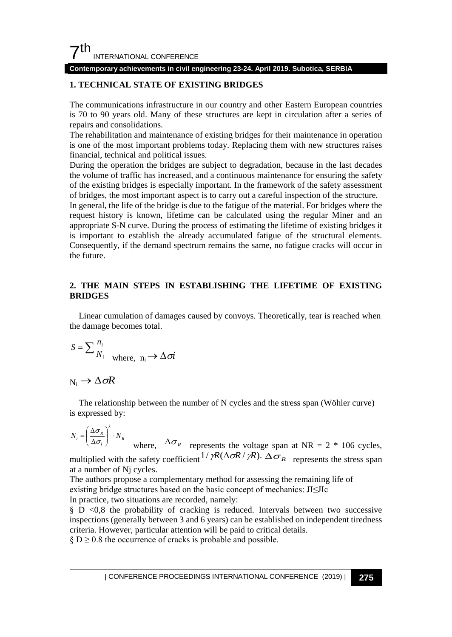

#### **Contemporary achievements in civil engineering 23-24. April 2019. Subotica, SERBIA**

#### **1. TECHNICAL STATE OF EXISTING BRIDGES**

The communications infrastructure in our country and other Eastern European countries is 70 to 90 years old. Many of these structures are kept in circulation after a series of repairs and consolidations.

The rehabilitation and maintenance of existing bridges for their maintenance in operation is one of the most important problems today. Replacing them with new structures raises financial, technical and political issues.

During the operation the bridges are subject to degradation, because in the last decades the volume of traffic has increased, and a continuous maintenance for ensuring the safety of the existing bridges is especially important. In the framework of the safety assessment of bridges, the most important aspect is to carry out a careful inspection of the structure.

In general, the life of the bridge is due to the fatigue of the material. For bridges where the request history is known, lifetime can be calculated using the regular Miner and an appropriate S-N curve. During the process of estimating the lifetime of existing bridges it is important to establish the already accumulated fatigue of the structural elements. Consequently, if the demand spectrum remains the same, no fatigue cracks will occur in the future.

#### **2. THE MAIN STEPS IN ESTABLISHING THE LIFETIME OF EXISTING BRIDGES**

Linear cumulation of damages caused by convoys. Theoretically, tear is reached when the damage becomes total.

$$
S = \sum \frac{n_i}{N_i} \quad \text{where, } n_i \to \Delta \sigma i
$$

#### $N_i \rightarrow \Delta \sigma R$

The relationship between the number of N cycles and the stress span (Wöhler curve) is expressed by:

*R k*  $N_i = \left(\frac{\Delta \sigma_R}{\Delta \sigma_i}\right) \cdot N$ J  $\mathcal{L}$ I ∖ ſ  $=\left(\frac{\Delta\sigma}{\Delta\sigma}\right)$ σ where,  $\Delta \sigma_R$  represents the voltage span at NR = 2 \* 106 cycles,

multiplied with the safety coefficient<sup>1/</sup>  $\gamma R(\Delta \sigma R / \gamma R)$ .  $\Delta \sigma_R$  represents the stress span at a number of Nj cycles.

The authors propose a complementary method for assessing the remaining life of existing bridge structures based on the basic concept of mechanics: JI≤JIc In practice, two situations are recorded, namely:

§ D <0,8 the probability of cracking is reduced. Intervals between two successive inspections (generally between 3 and 6 years) can be established on independent tiredness criteria. However, particular attention will be paid to critical details.

 $\S D \ge 0.8$  the occurrence of cracks is probable and possible.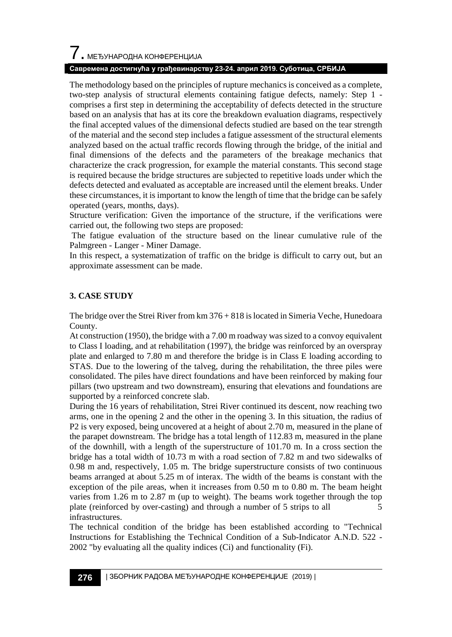# $\boldsymbol{7}$  , међународна конференција

#### **Савремена достигнућа у грађевинарству 23-24. април 2019. Суботица, СРБИЈА**

The methodology based on the principles of rupture mechanics is conceived as a complete, two-step analysis of structural elements containing fatigue defects, namely: Step 1 comprises a first step in determining the acceptability of defects detected in the structure based on an analysis that has at its core the breakdown evaluation diagrams, respectively the final accepted values of the dimensional defects studied are based on the tear strength of the material and the second step includes a fatigue assessment of the structural elements analyzed based on the actual traffic records flowing through the bridge, of the initial and final dimensions of the defects and the parameters of the breakage mechanics that characterize the crack progression, for example the material constants. This second stage is required because the bridge structures are subjected to repetitive loads under which the defects detected and evaluated as acceptable are increased until the element breaks. Under these circumstances, it is important to know the length of time that the bridge can be safely operated (years, months, days).

Structure verification: Given the importance of the structure, if the verifications were carried out, the following two steps are proposed:

The fatigue evaluation of the structure based on the linear cumulative rule of the Palmgreen - Langer - Miner Damage.

In this respect, a systematization of traffic on the bridge is difficult to carry out, but an approximate assessment can be made.

#### **3. CASE STUDY**

The bridge over the Strei River from km 376 + 818 is located in Simeria Veche, Hunedoara County.

At construction (1950), the bridge with a 7.00 m roadway was sized to a convoy equivalent to Class I loading, and at rehabilitation (1997), the bridge was reinforced by an overspray plate and enlarged to 7.80 m and therefore the bridge is in Class E loading according to STAS. Due to the lowering of the talveg, during the rehabilitation, the three piles were consolidated. The piles have direct foundations and have been reinforced by making four pillars (two upstream and two downstream), ensuring that elevations and foundations are supported by a reinforced concrete slab.

During the 16 years of rehabilitation, Strei River continued its descent, now reaching two arms, one in the opening 2 and the other in the opening 3. In this situation, the radius of P2 is very exposed, being uncovered at a height of about 2.70 m, measured in the plane of the parapet downstream. The bridge has a total length of 112.83 m, measured in the plane of the downhill, with a length of the superstructure of 101.70 m. In a cross section the bridge has a total width of 10.73 m with a road section of 7.82 m and two sidewalks of 0.98 m and, respectively, 1.05 m. The bridge superstructure consists of two continuous beams arranged at about 5.25 m of interax. The width of the beams is constant with the exception of the pile areas, when it increases from 0.50 m to 0.80 m. The beam height varies from 1.26 m to 2.87 m (up to weight). The beams work together through the top plate (reinforced by over-casting) and through a number of 5 strips to all 5 infrastructures.

The technical condition of the bridge has been established according to "Technical Instructions for Establishing the Technical Condition of a Sub-Indicator A.N.D. 522 - 2002 "by evaluating all the quality indices (Ci) and functionality (Fi).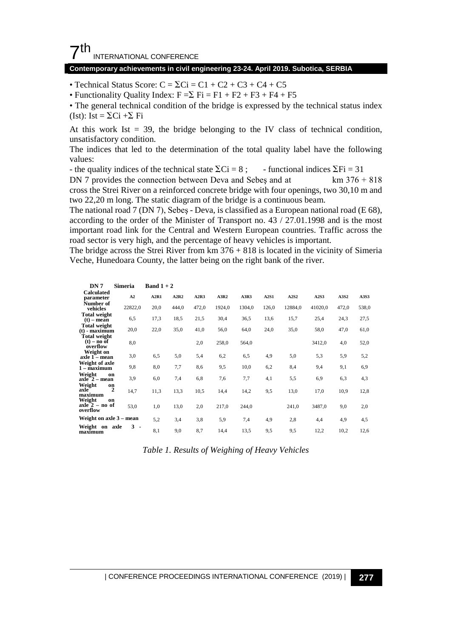#### $7<sup>th</sup>$ INTERNATIONAL CONFERENCE

#### **Contemporary achievements in civil engineering 23-24. April 2019. Subotica, SERBIA**

• Technical Status Score:  $C = \sum C_i = C_1 + C_2 + C_3 + C_4 + C_5$ 

• Functionality Quality Index:  $F = \sum$   $Fi = F1 + F2 + F3 + F4 + F5$ 

• The general technical condition of the bridge is expressed by the technical status index (Ist): Ist =  $\Sigma$ Ci + $\Sigma$  Fi

At this work Ist  $= 39$ , the bridge belonging to the IV class of technical condition, unsatisfactory condition.

The indices that led to the determination of the total quality label have the following values:

- the quality indices of the technical state  $\sum Ci = 8$ ; - functional indices  $\sum Fi = 31$ 

DN 7 provides the connection between Deva and Sebes and at  $km 376 + 818$ cross the Strei River on a reinforced concrete bridge with four openings, two 30,10 m and two 22,20 m long. The static diagram of the bridge is a continuous beam.

The national road 7 (DN 7), Sebeş - Deva, is classified as a European national road (E 68), according to the order of the Minister of Transport no. 43 / 27.01.1998 and is the most important road link for the Central and Western European countries. Traffic across the road sector is very high, and the percentage of heavy vehicles is important.

The bridge across the Strei River from  $km 376 + 818$  is located in the vicinity of Simeria Veche, Hunedoara County, the latter being on the right bank of the river.

| DN 7                                             | <b>Simeria</b> | Band $1+2$ |       |       |        |        |       |         |         |       |       |
|--------------------------------------------------|----------------|------------|-------|-------|--------|--------|-------|---------|---------|-------|-------|
| <b>Calculated</b><br>parameter                   | A2             | A2R1       | A2R2  | A2R3  | A3R2   | A3R3   | A2S1  | A2S2    | A2S3    | A3S2  | A3S3  |
| Number of<br>vehicles                            | 22822,0        | 20,0       | 444,0 | 472,0 | 1924,0 | 1304,0 | 126,0 | 12884,0 | 41020,0 | 472,0 | 538,0 |
| <b>Total weight</b><br>$(t)$ – mean              | 6,5            | 17,3       | 18,5  | 21,5  | 30,4   | 36,5   | 13,6  | 15,7    | 25,4    | 24,3  | 27,5  |
| <b>Total weight</b><br>$(t)$ - maximum           | 20,0           | 22,0       | 35,0  | 41,0  | 56,0   | 64,0   | 24,0  | 35,0    | 58,0    | 47,0  | 61,0  |
| <b>Total weight</b><br>$(t)$ – no of<br>overflow | 8,0            |            |       | 2,0   | 258,0  | 564,0  |       |         | 3412,0  | 4,0   | 52,0  |
| Weight on<br>axle 1 – mean                       | 3,0            | 6.5        | 5,0   | 5,4   | 6,2    | 6.5    | 4,9   | 5,0     | 5,3     | 5,9   | 5,2   |
| Weight of axle<br>$1 - maximum$                  | 9,8            | 8,0        | 7,7   | 8,6   | 9,5    | 10,0   | 6,2   | 8,4     | 9,4     | 9,1   | 6,9   |
| Weight<br>on<br>$axle 2 - mean$                  | 3,9            | 6,0        | 7,4   | 6,8   | 7.6    | 7.7    | 4,1   | 5,5     | 6,9     | 6,3   | 4,3   |
| Weight<br>on<br>axle<br>maximum                  | 2<br>14,7      | 11,3       | 13,3  | 10,5  | 14,4   | 14,2   | 9,5   | 13,0    | 17,0    | 10,9  | 12,8  |
| Weight<br>on<br>$axle 2 - no$ of<br>overflow     | 53,0           | 1,0        | 13,0  | 2,0   | 217,0  | 244,0  |       | 241,0   | 3487,0  | 9,0   | 2,0   |
| Weight on axle 3 - mean                          |                | 5,2        | 3,4   | 3,8   | 5,9    | 7,4    | 4,9   | 2,8     | 4,4     | 4,9   | 4,5   |
| Weight on axle<br>maximum                        | $3 -$          | 8,1        | 9,0   | 8,7   | 14,4   | 13,5   | 9,5   | 9,5     | 12,2    | 10,2  | 12,6  |

*Table 1. Results of Weighing of Heavy Vehicles*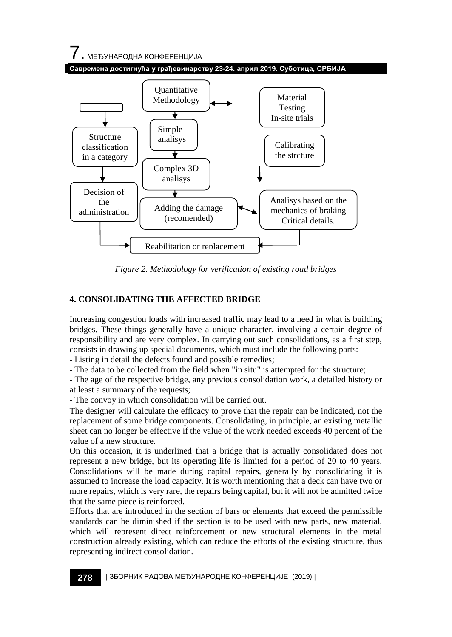7. МЕЂУНАРОДНА КОНФЕРЕНЦИЈА





*Figure 2. Methodology for verification of existing road bridges*

#### **4. CONSOLIDATING THE AFFECTED BRIDGE**

Increasing congestion loads with increased traffic may lead to a need in what is building bridges. These things generally have a unique character, involving a certain degree of responsibility and are very complex. In carrying out such consolidations, as a first step, consists in drawing up special documents, which must include the following parts:

- Listing in detail the defects found and possible remedies;

- The data to be collected from the field when "in situ" is attempted for the structure;

- The age of the respective bridge, any previous consolidation work, a detailed history or at least a summary of the requests;

- The convoy in which consolidation will be carried out.

The designer will calculate the efficacy to prove that the repair can be indicated, not the replacement of some bridge components. Consolidating, in principle, an existing metallic sheet can no longer be effective if the value of the work needed exceeds 40 percent of the value of a new structure.

On this occasion, it is underlined that a bridge that is actually consolidated does not represent a new bridge, but its operating life is limited for a period of 20 to 40 years. Consolidations will be made during capital repairs, generally by consolidating it is assumed to increase the load capacity. It is worth mentioning that a deck can have two or more repairs, which is very rare, the repairs being capital, but it will not be admitted twice that the same piece is reinforced.

Efforts that are introduced in the section of bars or elements that exceed the permissible standards can be diminished if the section is to be used with new parts, new material, which will represent direct reinforcement or new structural elements in the metal construction already existing, which can reduce the efforts of the existing structure, thus representing indirect consolidation.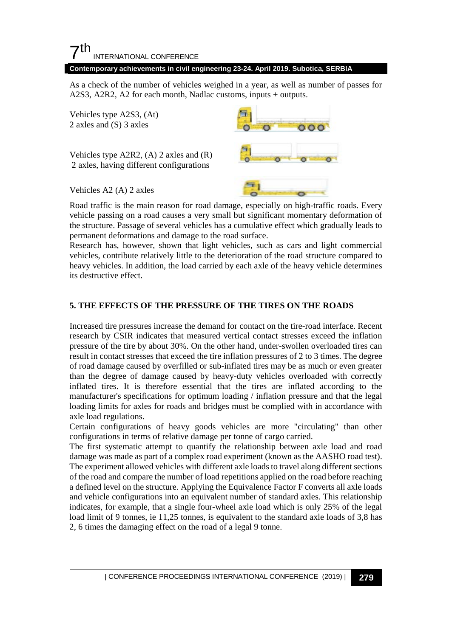#### $7<sup>th</sup>$ INTERNATIONAL CONFERENCE

#### **Contemporary achievements in civil engineering 23-24. April 2019. Subotica, SERBIA**

As a check of the number of vehicles weighed in a year, as well as number of passes for A2S3, A2R2, A2 for each month, Nadlac customs, inputs + outputs.

Vehicles type A2S3, (At) 2 axles and (S) 3 axles

Vehicles type A2R2, (A) 2 axles and (R) 2 axles, having different configurations



Vehicles A2 (A) 2 axles

Road traffic is the main reason for road damage, especially on high-traffic roads. Every vehicle passing on a road causes a very small but significant momentary deformation of the structure. Passage of several vehicles has a cumulative effect which gradually leads to permanent deformations and damage to the road surface.

Research has, however, shown that light vehicles, such as cars and light commercial vehicles, contribute relatively little to the deterioration of the road structure compared to heavy vehicles. In addition, the load carried by each axle of the heavy vehicle determines its destructive effect.

#### **5. THE EFFECTS OF THE PRESSURE OF THE TIRES ON THE ROADS**

Increased tire pressures increase the demand for contact on the tire-road interface. Recent research by CSIR indicates that measured vertical contact stresses exceed the inflation pressure of the tire by about 30%. On the other hand, under-swollen overloaded tires can result in contact stresses that exceed the tire inflation pressures of 2 to 3 times. The degree of road damage caused by overfilled or sub-inflated tires may be as much or even greater than the degree of damage caused by heavy-duty vehicles overloaded with correctly inflated tires. It is therefore essential that the tires are inflated according to the manufacturer's specifications for optimum loading / inflation pressure and that the legal loading limits for axles for roads and bridges must be complied with in accordance with axle load regulations.

Certain configurations of heavy goods vehicles are more "circulating" than other configurations in terms of relative damage per tonne of cargo carried.

The first systematic attempt to quantify the relationship between axle load and road damage was made as part of a complex road experiment (known as the AASHO road test). The experiment allowed vehicles with different axle loads to travel along different sections of the road and compare the number of load repetitions applied on the road before reaching a defined level on the structure. Applying the Equivalence Factor F converts all axle loads and vehicle configurations into an equivalent number of standard axles. This relationship indicates, for example, that a single four-wheel axle load which is only 25% of the legal load limit of 9 tonnes, ie 11,25 tonnes, is equivalent to the standard axle loads of 3,8 has 2, 6 times the damaging effect on the road of a legal 9 tonne.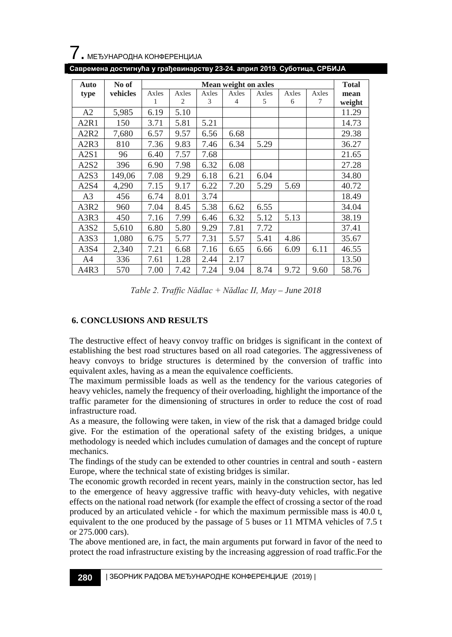

|  | Савремена достигнућа у грађевинарству 23-24. април 2019. Суботица, СРБИЈА 1 |
|--|-----------------------------------------------------------------------------|
|--|-----------------------------------------------------------------------------|

| Auto                          | No of    | Mean weight on axles |       |       |                |       |       |       |        |
|-------------------------------|----------|----------------------|-------|-------|----------------|-------|-------|-------|--------|
| type                          | vehicles | Axles                | Axles | Axles | Axles          | Axles | Axles | Axles | mean   |
|                               |          |                      | 2     | 3     | $\overline{4}$ | 5     | 6     | 7     | weight |
| A2                            | 5,985    | 6.19                 | 5.10  |       |                |       |       |       | 11.29  |
| A <sub>2</sub> R <sub>1</sub> | 150      | 3.71                 | 5.81  | 5.21  |                |       |       |       | 14.73  |
| A2R2                          | 7,680    | 6.57                 | 9.57  | 6.56  | 6.68           |       |       |       | 29.38  |
| A2R3                          | 810      | 7.36                 | 9.83  | 7.46  | 6.34           | 5.29  |       |       | 36.27  |
| A2S1                          | 96       | 6.40                 | 7.57  | 7.68  |                |       |       |       | 21.65  |
| A2S2                          | 396      | 6.90                 | 7.98  | 6.32  | 6.08           |       |       |       | 27.28  |
| A <sub>2</sub> S <sub>3</sub> | 149,06   | 7.08                 | 9.29  | 6.18  | 6.21           | 6.04  |       |       | 34.80  |
| A2S4                          | 4,290    | 7.15                 | 9.17  | 6.22  | 7.20           | 5.29  | 5.69  |       | 40.72  |
| A <sub>3</sub>                | 456      | 6.74                 | 8.01  | 3.74  |                |       |       |       | 18.49  |
| A3R2                          | 960      | 7.04                 | 8.45  | 5.38  | 6.62           | 6.55  |       |       | 34.04  |
| A3R3                          | 450      | 7.16                 | 7.99  | 6.46  | 6.32           | 5.12  | 5.13  |       | 38.19  |
| A3S2                          | 5,610    | 6.80                 | 5.80  | 9.29  | 7.81           | 7.72  |       |       | 37.41  |
| A3S3                          | 1,080    | 6.75                 | 5.77  | 7.31  | 5.57           | 5.41  | 4.86  |       | 35.67  |
| A3S4                          | 2,340    | 7.21                 | 6.68  | 7.16  | 6.65           | 6.66  | 6.09  | 6.11  | 46.55  |
| A4                            | 336      | 7.61                 | 1.28  | 2.44  | 2.17           |       |       |       | 13.50  |
| A4R3                          | 570      | 7.00                 | 7.42  | 7.24  | 9.04           | 8.74  | 9.72  | 9.60  | 58.76  |

*Table 2. Traffic Nădlac + Nădlac II, May – June 2018*

#### **6. CONCLUSIONS AND RESULTS**

The destructive effect of heavy convoy traffic on bridges is significant in the context of establishing the best road structures based on all road categories. The aggressiveness of heavy convoys to bridge structures is determined by the conversion of traffic into equivalent axles, having as a mean the equivalence coefficients.

The maximum permissible loads as well as the tendency for the various categories of heavy vehicles, namely the frequency of their overloading, highlight the importance of the traffic parameter for the dimensioning of structures in order to reduce the cost of road infrastructure road.

As a measure, the following were taken, in view of the risk that a damaged bridge could give. For the estimation of the operational safety of the existing bridges, a unique methodology is needed which includes cumulation of damages and the concept of rupture mechanics.

The findings of the study can be extended to other countries in central and south - eastern Europe, where the technical state of existing bridges is similar.

The economic growth recorded in recent years, mainly in the construction sector, has led to the emergence of heavy aggressive traffic with heavy-duty vehicles, with negative effects on the national road network (for example the effect of crossing a sector of the road produced by an articulated vehicle - for which the maximum permissible mass is 40.0 t, equivalent to the one produced by the passage of 5 buses or 11 MTMA vehicles of 7.5 t or 275.000 cars).

The above mentioned are, in fact, the main arguments put forward in favor of the need to protect the road infrastructure existing by the increasing aggression of road traffic.For the